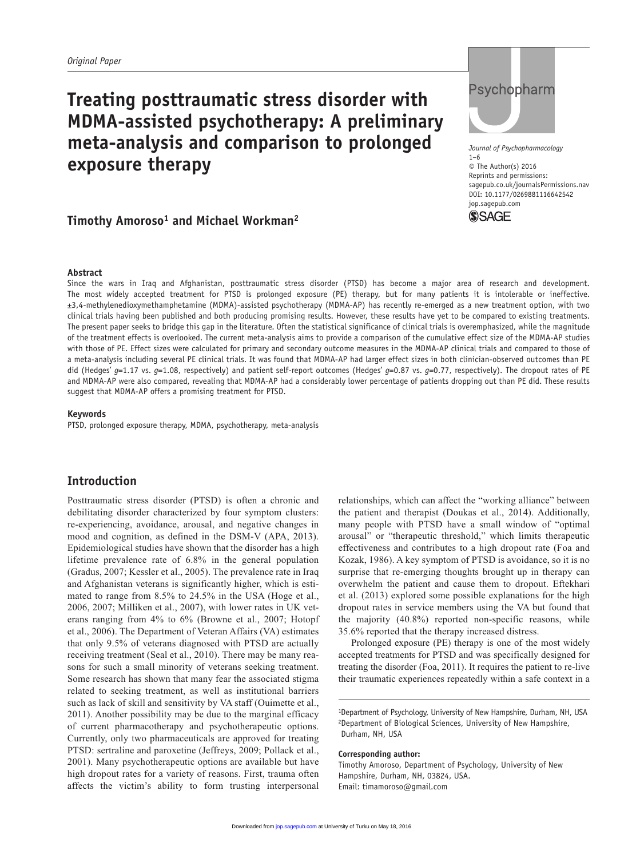# **Treating posttraumatic stress disorder with MDMA-assisted psychotherapy: A preliminary meta-analysis and comparison to prolonged exposure therapy**

# **Timothy Amoroso<sup>1</sup> and Michael Workman<sup>2</sup>**

# Psychopharm

*Journal of Psychopharmacology* 1–6 © The Author(s) 2016 Reprints and permissions: sagepub.co.uk/journalsPermissions.nav DOI: 10.1177/0269881116642542 jop.sagepub.com



#### **Abstract**

Since the wars in Iraq and Afghanistan, posttraumatic stress disorder (PTSD) has become a major area of research and development. The most widely accepted treatment for PTSD is prolonged exposure (PE) therapy, but for many patients it is intolerable or ineffective. ±3,4-methylenedioxymethamphetamine (MDMA)-assisted psychotherapy (MDMA-AP) has recently re-emerged as a new treatment option, with two clinical trials having been published and both producing promising results. However, these results have yet to be compared to existing treatments. The present paper seeks to bridge this gap in the literature. Often the statistical significance of clinical trials is overemphasized, while the magnitude of the treatment effects is overlooked. The current meta-analysis aims to provide a comparison of the cumulative effect size of the MDMA-AP studies with those of PE. Effect sizes were calculated for primary and secondary outcome measures in the MDMA-AP clinical trials and compared to those of a meta-analysis including several PE clinical trials. It was found that MDMA-AP had larger effect sizes in both clinician-observed outcomes than PE did (Hedges' *g*=1.17 vs. *g*=1.08, respectively) and patient self-report outcomes (Hedges' *g*=0.87 vs. *g*=0.77, respectively). The dropout rates of PE and MDMA-AP were also compared, revealing that MDMA-AP had a considerably lower percentage of patients dropping out than PE did. These results suggest that MDMA-AP offers a promising treatment for PTSD.

#### **Keywords**

PTSD, prolonged exposure therapy, MDMA, psychotherapy, meta-analysis

# **Introduction**

Posttraumatic stress disorder (PTSD) is often a chronic and debilitating disorder characterized by four symptom clusters: re-experiencing, avoidance, arousal, and negative changes in mood and cognition, as defined in the DSM-V (APA, 2013). Epidemiological studies have shown that the disorder has a high lifetime prevalence rate of 6.8% in the general population (Gradus, 2007; Kessler et al., 2005). The prevalence rate in Iraq and Afghanistan veterans is significantly higher, which is estimated to range from 8.5% to 24.5% in the USA (Hoge et al., 2006, 2007; Milliken et al., 2007), with lower rates in UK veterans ranging from 4% to 6% (Browne et al., 2007; Hotopf et al., 2006). The Department of Veteran Affairs (VA) estimates that only 9.5% of veterans diagnosed with PTSD are actually receiving treatment (Seal et al., 2010). There may be many reasons for such a small minority of veterans seeking treatment. Some research has shown that many fear the associated stigma related to seeking treatment, as well as institutional barriers such as lack of skill and sensitivity by VA staff (Ouimette et al., 2011). Another possibility may be due to the marginal efficacy of current pharmacotherapy and psychotherapeutic options. Currently, only two pharmaceuticals are approved for treating PTSD: sertraline and paroxetine (Jeffreys, 2009; Pollack et al., 2001). Many psychotherapeutic options are available but have high dropout rates for a variety of reasons. First, trauma often affects the victim's ability to form trusting interpersonal relationships, which can affect the "working alliance" between the patient and therapist (Doukas et al., 2014). Additionally, many people with PTSD have a small window of "optimal arousal" or "therapeutic threshold," which limits therapeutic effectiveness and contributes to a high dropout rate (Foa and Kozak, 1986). A key symptom of PTSD is avoidance, so it is no surprise that re-emerging thoughts brought up in therapy can overwhelm the patient and cause them to dropout. Eftekhari et al. (2013) explored some possible explanations for the high dropout rates in service members using the VA but found that the majority (40.8%) reported non-specific reasons, while 35.6% reported that the therapy increased distress.

Prolonged exposure (PE) therapy is one of the most widely accepted treatments for PTSD and was specifically designed for treating the disorder (Foa, 2011). It requires the patient to re-live their traumatic experiences repeatedly within a safe context in a

#### **Corresponding author:**

Timothy Amoroso, Department of Psychology, University of New Hampshire, Durham, NH, 03824, USA. Email: [timamoroso@gmail.com](mailto:timamoroso@gmail.com)

<sup>1</sup>Department of Psychology, University of New Hampshire, Durham, NH, USA 2Department of Biological Sciences, University of New Hampshire, Durham, NH, USA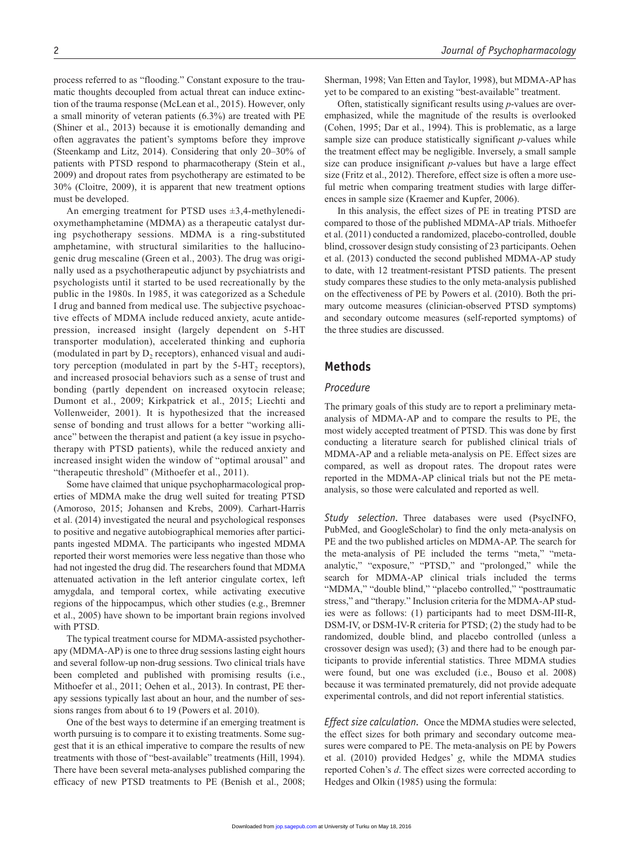process referred to as "flooding." Constant exposure to the traumatic thoughts decoupled from actual threat can induce extinction of the trauma response (McLean et al., 2015). However, only a small minority of veteran patients (6.3%) are treated with PE (Shiner et al., 2013) because it is emotionally demanding and often aggravates the patient's symptoms before they improve (Steenkamp and Litz, 2014). Considering that only 20–30% of patients with PTSD respond to pharmacotherapy (Stein et al., 2009) and dropout rates from psychotherapy are estimated to be 30% (Cloitre, 2009), it is apparent that new treatment options must be developed.

An emerging treatment for PTSD uses  $\pm 3,4$ -methylenedioxymethamphetamine (MDMA) as a therapeutic catalyst during psychotherapy sessions. MDMA is a ring-substituted amphetamine, with structural similarities to the hallucinogenic drug mescaline (Green et al., 2003). The drug was originally used as a psychotherapeutic adjunct by psychiatrists and psychologists until it started to be used recreationally by the public in the 1980s. In 1985, it was categorized as a Schedule I drug and banned from medical use. The subjective psychoactive effects of MDMA include reduced anxiety, acute antidepression, increased insight (largely dependent on 5-HT transporter modulation), accelerated thinking and euphoria (modulated in part by  $D_2$  receptors), enhanced visual and auditory perception (modulated in part by the  $5-HT<sub>2</sub>$  receptors), and increased prosocial behaviors such as a sense of trust and bonding (partly dependent on increased oxytocin release; Dumont et al., 2009; Kirkpatrick et al., 2015; Liechti and Vollenweider, 2001). It is hypothesized that the increased sense of bonding and trust allows for a better "working alliance" between the therapist and patient (a key issue in psychotherapy with PTSD patients), while the reduced anxiety and increased insight widen the window of "optimal arousal" and "therapeutic threshold" (Mithoefer et al., 2011).

Some have claimed that unique psychopharmacological properties of MDMA make the drug well suited for treating PTSD (Amoroso, 2015; Johansen and Krebs, 2009). Carhart-Harris et al. (2014) investigated the neural and psychological responses to positive and negative autobiographical memories after participants ingested MDMA. The participants who ingested MDMA reported their worst memories were less negative than those who had not ingested the drug did. The researchers found that MDMA attenuated activation in the left anterior cingulate cortex, left amygdala, and temporal cortex, while activating executive regions of the hippocampus, which other studies (e.g., Bremner et al., 2005) have shown to be important brain regions involved with PTSD.

The typical treatment course for MDMA-assisted psychotherapy (MDMA-AP) is one to three drug sessions lasting eight hours and several follow-up non-drug sessions. Two clinical trials have been completed and published with promising results (i.e., Mithoefer et al., 2011; Oehen et al., 2013). In contrast, PE therapy sessions typically last about an hour, and the number of sessions ranges from about 6 to 19 (Powers et al. 2010).

One of the best ways to determine if an emerging treatment is worth pursuing is to compare it to existing treatments. Some suggest that it is an ethical imperative to compare the results of new treatments with those of "best-available" treatments (Hill, 1994). There have been several meta-analyses published comparing the efficacy of new PTSD treatments to PE (Benish et al., 2008; Sherman, 1998; Van Etten and Taylor, 1998), but MDMA-AP has yet to be compared to an existing "best-available" treatment.

Often, statistically significant results using *p*-values are overemphasized, while the magnitude of the results is overlooked (Cohen, 1995; Dar et al., 1994). This is problematic, as a large sample size can produce statistically significant *p-*values while the treatment effect may be negligible. Inversely, a small sample size can produce insignificant *p*-values but have a large effect size (Fritz et al., 2012). Therefore, effect size is often a more useful metric when comparing treatment studies with large differences in sample size (Kraemer and Kupfer, 2006).

In this analysis, the effect sizes of PE in treating PTSD are compared to those of the published MDMA-AP trials. Mithoefer et al. (2011) conducted a randomized, placebo-controlled, double blind, crossover design study consisting of 23 participants. Oehen et al. (2013) conducted the second published MDMA-AP study to date, with 12 treatment-resistant PTSD patients. The present study compares these studies to the only meta-analysis published on the effectiveness of PE by Powers et al. (2010). Both the primary outcome measures (clinician-observed PTSD symptoms) and secondary outcome measures (self-reported symptoms) of the three studies are discussed.

# **Methods**

#### *Procedure*

The primary goals of this study are to report a preliminary metaanalysis of MDMA-AP and to compare the results to PE, the most widely accepted treatment of PTSD. This was done by first conducting a literature search for published clinical trials of MDMA-AP and a reliable meta-analysis on PE. Effect sizes are compared, as well as dropout rates. The dropout rates were reported in the MDMA-AP clinical trials but not the PE metaanalysis, so those were calculated and reported as well.

*Study selection.* Three databases were used (PsycINFO, PubMed, and GoogleScholar) to find the only meta-analysis on PE and the two published articles on MDMA-AP. The search for the meta-analysis of PE included the terms "meta," "metaanalytic," "exposure," "PTSD," and "prolonged," while the search for MDMA-AP clinical trials included the terms "MDMA," "double blind," "placebo controlled," "posttraumatic stress," and "therapy." Inclusion criteria for the MDMA-AP studies were as follows: (1) participants had to meet DSM-III-R, DSM-IV, or DSM-IV-R criteria for PTSD; (2) the study had to be randomized, double blind, and placebo controlled (unless a crossover design was used); (3) and there had to be enough participants to provide inferential statistics. Three MDMA studies were found, but one was excluded (i.e., Bouso et al. 2008) because it was terminated prematurely, did not provide adequate experimental controls, and did not report inferential statistics.

*Effect size calculation.* Once the MDMA studies were selected, the effect sizes for both primary and secondary outcome measures were compared to PE. The meta-analysis on PE by Powers et al. (2010) provided Hedges' *g*, while the MDMA studies reported Cohen's *d*. The effect sizes were corrected according to Hedges and Olkin (1985) using the formula: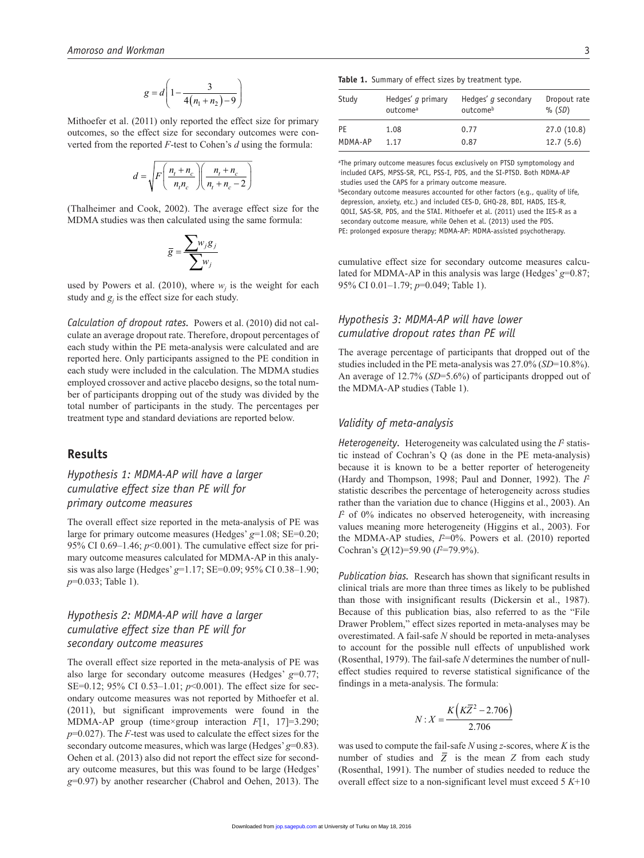$$
g = d \left( 1 - \frac{3}{4(n_1 + n_2) - 9} \right)
$$

Mithoefer et al. (2011) only reported the effect size for primary outcomes, so the effect size for secondary outcomes were converted from the reported *F*-test to Cohen's *d* using the formula:

$$
d = \sqrt{F\left(\frac{n_t + n_c}{n_t n_c}\right)\left(\frac{n_t + n_c}{n_t + n_c - 2}\right)}
$$

(Thalheimer and Cook, 2002). The average effect size for the MDMA studies was then calculated using the same formula:

$$
\overline{g} = \frac{\sum_{j} w_j g_j}{\sum_{j} w_j}
$$

used by Powers et al. (2010), where  $w_j$  is the weight for each study and  $g_j$  is the effect size for each study.

*Calculation of dropout rates.* Powers et al. (2010) did not calculate an average dropout rate. Therefore, dropout percentages of each study within the PE meta-analysis were calculated and are reported here. Only participants assigned to the PE condition in each study were included in the calculation. The MDMA studies employed crossover and active placebo designs, so the total number of participants dropping out of the study was divided by the total number of participants in the study. The percentages per treatment type and standard deviations are reported below.

### **Results**

# *Hypothesis 1: MDMA-AP will have a larger cumulative effect size than PE will for primary outcome measures*

The overall effect size reported in the meta-analysis of PE was large for primary outcome measures (Hedges' *g*=1.08; SE=0.20; 95% CI 0.69–1.46; *p*<0.001). The cumulative effect size for primary outcome measures calculated for MDMA-AP in this analysis was also large (Hedges' *g*=1.17; SE=0.09; 95% CI 0.38–1.90; *p*=0.033; Table 1).

# *Hypothesis 2: MDMA-AP will have a larger cumulative effect size than PE will for secondary outcome measures*

The overall effect size reported in the meta-analysis of PE was also large for secondary outcome measures (Hedges' *g*=0.77; SE=0.12; 95% CI 0.53–1.01; *p*<0.001). The effect size for secondary outcome measures was not reported by Mithoefer et al. (2011), but significant improvements were found in the MDMA-AP group (time×group interaction *F*[1, 17]=3.290; *p*=0.027). The *F*-test was used to calculate the effect sizes for the secondary outcome measures, which was large (Hedges' *g*=0.83). Oehen et al. (2013) also did not report the effect size for secondary outcome measures, but this was found to be large (Hedges' *g*=0.97) by another researcher (Chabrol and Oehen, 2013). The

| Study   | Hedges' g primary<br>outcome <sup>a</sup> | Hedges' q secondary<br>outcomeb | Dropout rate<br>$%$ (SD) |
|---------|-------------------------------------------|---------------------------------|--------------------------|
| PF      | 1.08                                      | 0.77                            | 27.0(10.8)               |
| MDMA-AP | 1 1 7                                     | 0.87                            | 12.7(5.6)                |

<sup>a</sup>The primary outcome measures focus exclusively on PTSD symptomology and included CAPS, MPSS-SR, PCL, PSS-I, PDS, and the SI-PTSD. Both MDMA-AP studies used the CAPS for a primary outcome measure.

 $b$ Secondary outcome measures accounted for other factors (e.g., quality of life, depression, anxiety, etc.) and included CES-D, GHQ-28, BDI, HADS, IES-R, QOLI, SAS-SR, PDS, and the STAI. Mithoefer et al. (2011) used the IES-R as a secondary outcome measure, while Oehen et al. (2013) used the PDS. PE: prolonged exposure therapy; MDMA-AP: MDMA-assisted psychotherapy.

cumulative effect size for secondary outcome measures calculated for MDMA-AP in this analysis was large (Hedges' *g*=0.87; 95% CI 0.01–1.79; *p*=0.049; Table 1).

# *Hypothesis 3: MDMA-AP will have lower cumulative dropout rates than PE will*

The average percentage of participants that dropped out of the studies included in the PE meta-analysis was 27.0% (*SD*=10.8%). An average of 12.7% (*SD*=5.6%) of participants dropped out of the MDMA-AP studies (Table 1).

#### *Validity of meta-analysis*

*Heterogeneity.* Heterogeneity was calculated using the *I*2 statistic instead of Cochran's Q (as done in the PE meta-analysis) because it is known to be a better reporter of heterogeneity (Hardy and Thompson, 1998; Paul and Donner, 1992). The *I*<sup>2</sup> statistic describes the percentage of heterogeneity across studies rather than the variation due to chance (Higgins et al., 2003). An  $I<sup>2</sup>$  of 0% indicates no observed heterogeneity, with increasing values meaning more heterogeneity (Higgins et al., 2003). For the MDMA-AP studies,  $I^2=0\%$ . Powers et al. (2010) reported Cochran's *Q*(12)=59.90 (*I*2=79.9%).

*Publication bias.* Research has shown that significant results in clinical trials are more than three times as likely to be published than those with insignificant results (Dickersin et al., 1987). Because of this publication bias, also referred to as the "File Drawer Problem," effect sizes reported in meta-analyses may be overestimated. A fail-safe *N* should be reported in meta-analyses to account for the possible null effects of unpublished work (Rosenthal, 1979). The fail-safe *N* determines the number of nulleffect studies required to reverse statistical significance of the findings in a meta-analysis. The formula:

$$
N: X = \frac{K\left(K\bar{Z}^2 - 2.706\right)}{2.706}
$$

was used to compute the fail-safe *N* using *z*-scores, where *K* is the number of studies and  $\overline{Z}$  is the mean *Z* from each study (Rosenthal, 1991). The number of studies needed to reduce the overall effect size to a non-significant level must exceed 5 *K*+10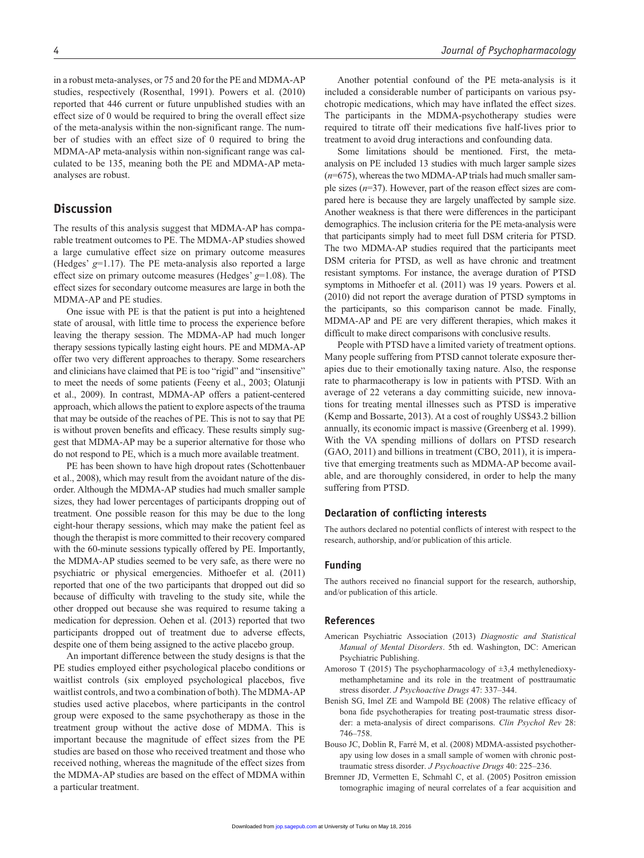in a robust meta-analyses, or 75 and 20 for the PE and MDMA-AP studies, respectively (Rosenthal, 1991). Powers et al. (2010) reported that 446 current or future unpublished studies with an effect size of 0 would be required to bring the overall effect size of the meta-analysis within the non-significant range. The number of studies with an effect size of 0 required to bring the MDMA-AP meta-analysis within non-significant range was calculated to be 135, meaning both the PE and MDMA-AP metaanalyses are robust.

# **Discussion**

The results of this analysis suggest that MDMA-AP has comparable treatment outcomes to PE. The MDMA-AP studies showed a large cumulative effect size on primary outcome measures (Hedges' *g*=1.17). The PE meta-analysis also reported a large effect size on primary outcome measures (Hedges' *g*=1.08). The effect sizes for secondary outcome measures are large in both the MDMA-AP and PE studies.

One issue with PE is that the patient is put into a heightened state of arousal, with little time to process the experience before leaving the therapy session. The MDMA-AP had much longer therapy sessions typically lasting eight hours. PE and MDMA-AP offer two very different approaches to therapy. Some researchers and clinicians have claimed that PE is too "rigid" and "insensitive" to meet the needs of some patients (Feeny et al., 2003; Olatunji et al., 2009). In contrast, MDMA-AP offers a patient-centered approach, which allows the patient to explore aspects of the trauma that may be outside of the reaches of PE. This is not to say that PE is without proven benefits and efficacy. These results simply suggest that MDMA-AP may be a superior alternative for those who do not respond to PE, which is a much more available treatment.

PE has been shown to have high dropout rates (Schottenbauer et al., 2008), which may result from the avoidant nature of the disorder. Although the MDMA-AP studies had much smaller sample sizes, they had lower percentages of participants dropping out of treatment. One possible reason for this may be due to the long eight-hour therapy sessions, which may make the patient feel as though the therapist is more committed to their recovery compared with the 60-minute sessions typically offered by PE. Importantly, the MDMA-AP studies seemed to be very safe, as there were no psychiatric or physical emergencies. Mithoefer et al. (2011) reported that one of the two participants that dropped out did so because of difficulty with traveling to the study site, while the other dropped out because she was required to resume taking a medication for depression. Oehen et al. (2013) reported that two participants dropped out of treatment due to adverse effects, despite one of them being assigned to the active placebo group.

An important difference between the study designs is that the PE studies employed either psychological placebo conditions or waitlist controls (six employed psychological placebos, five waitlist controls, and two a combination of both). The MDMA-AP studies used active placebos, where participants in the control group were exposed to the same psychotherapy as those in the treatment group without the active dose of MDMA. This is important because the magnitude of effect sizes from the PE studies are based on those who received treatment and those who received nothing, whereas the magnitude of the effect sizes from the MDMA-AP studies are based on the effect of MDMA within a particular treatment.

Another potential confound of the PE meta-analysis is it included a considerable number of participants on various psychotropic medications, which may have inflated the effect sizes. The participants in the MDMA-psychotherapy studies were required to titrate off their medications five half-lives prior to treatment to avoid drug interactions and confounding data.

Some limitations should be mentioned. First, the metaanalysis on PE included 13 studies with much larger sample sizes (*n*=675), whereas the two MDMA-AP trials had much smaller sample sizes (*n*=37). However, part of the reason effect sizes are compared here is because they are largely unaffected by sample size. Another weakness is that there were differences in the participant demographics. The inclusion criteria for the PE meta-analysis were that participants simply had to meet full DSM criteria for PTSD. The two MDMA-AP studies required that the participants meet DSM criteria for PTSD, as well as have chronic and treatment resistant symptoms. For instance, the average duration of PTSD symptoms in Mithoefer et al. (2011) was 19 years. Powers et al. (2010) did not report the average duration of PTSD symptoms in the participants, so this comparison cannot be made. Finally, MDMA-AP and PE are very different therapies, which makes it difficult to make direct comparisons with conclusive results.

People with PTSD have a limited variety of treatment options. Many people suffering from PTSD cannot tolerate exposure therapies due to their emotionally taxing nature. Also, the response rate to pharmacotherapy is low in patients with PTSD. With an average of 22 veterans a day committing suicide, new innovations for treating mental illnesses such as PTSD is imperative (Kemp and Bossarte, 2013). At a cost of roughly US\$43.2 billion annually, its economic impact is massive (Greenberg et al. 1999). With the VA spending millions of dollars on PTSD research (GAO, 2011) and billions in treatment (CBO, 2011), it is imperative that emerging treatments such as MDMA-AP become available, and are thoroughly considered, in order to help the many suffering from PTSD.

#### **Declaration of conflicting interests**

The authors declared no potential conflicts of interest with respect to the research, authorship, and/or publication of this article.

#### **Funding**

The authors received no financial support for the research, authorship, and/or publication of this article.

#### **References**

- American Psychiatric Association (2013) *Diagnostic and Statistical Manual of Mental Disorders*. 5th ed. Washington, DC: American Psychiatric Publishing.
- Amoroso T (2015) The psychopharmacology of ±3,4 methylenedioxymethamphetamine and its role in the treatment of posttraumatic stress disorder. *J Psychoactive Drugs* 47: 337–344.
- Benish SG, Imel ZE and Wampold BE (2008) The relative efficacy of bona fide psychotherapies for treating post-traumatic stress disorder: a meta-analysis of direct comparisons. *Clin Psychol Rev* 28: 746–758.
- Bouso JC, Doblin R, Farré M, et al. (2008) MDMA-assisted psychotherapy using low doses in a small sample of women with chronic posttraumatic stress disorder. *J Psychoactive Drugs* 40: 225–236.
- Bremner JD, Vermetten E, Schmahl C, et al. (2005) Positron emission tomographic imaging of neural correlates of a fear acquisition and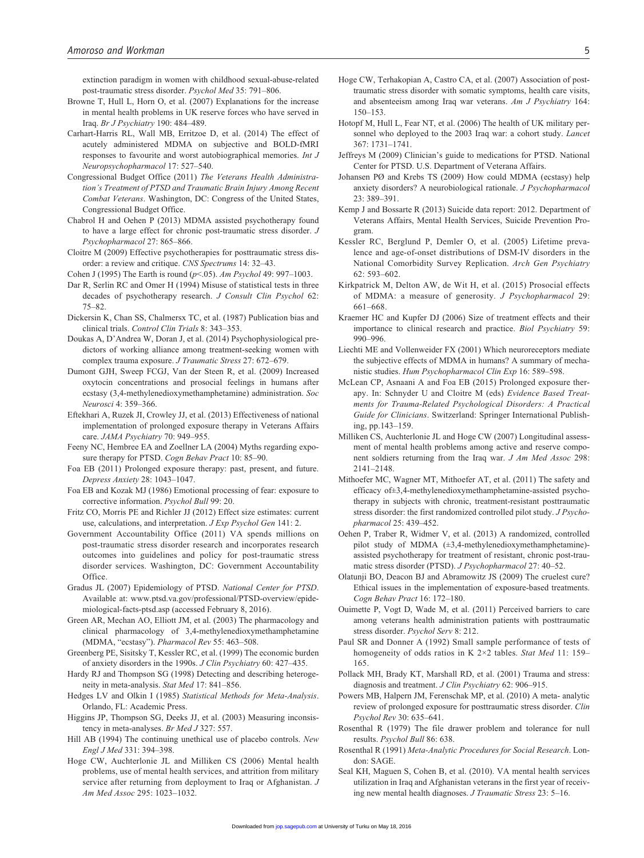extinction paradigm in women with childhood sexual-abuse-related post-traumatic stress disorder. *Psychol Med* 35: 791–806.

- Browne T, Hull L, Horn O, et al. (2007) Explanations for the increase in mental health problems in UK reserve forces who have served in Iraq. *Br J Psychiatry* 190: 484–489.
- Carhart-Harris RL, Wall MB, Erritzoe D, et al. (2014) The effect of acutely administered MDMA on subjective and BOLD-fMRI responses to favourite and worst autobiographical memories. *Int J Neuropsychopharmacol* 17: 527–540.
- Congressional Budget Office (2011) *The Veterans Health Administration's Treatment of PTSD and Traumatic Brain Injury Among Recent Combat Veterans*. Washington, DC: Congress of the United States, Congressional Budget Office.
- Chabrol H and Oehen P (2013) MDMA assisted psychotherapy found to have a large effect for chronic post-traumatic stress disorder. *J Psychopharmacol* 27: 865–866.
- Cloitre M (2009) Effective psychotherapies for posttraumatic stress disorder: a review and critique. *CNS Spectrums* 14: 32–43.
- Cohen J (1995) The Earth is round (*p*<.05). *Am Psychol* 49: 997–1003.
- Dar R, Serlin RC and Omer H (1994) Misuse of statistical tests in three decades of psychotherapy research. *J Consult Clin Psychol* 62: 75–82.
- Dickersin K, Chan SS, Chalmersx TC, et al. (1987) Publication bias and clinical trials. *Control Clin Trials* 8: 343–353.
- Doukas A, D'Andrea W, Doran J, et al. (2014) Psychophysiological predictors of working alliance among treatment-seeking women with complex trauma exposure. *J Traumatic Stress* 27: 672–679.
- Dumont GJH, Sweep FCGJ, Van der Steen R, et al. (2009) Increased oxytocin concentrations and prosocial feelings in humans after ecstasy (3,4-methylenedioxymethamphetamine) administration. *Soc Neurosci* 4: 359–366.
- Eftekhari A, Ruzek JI, Crowley JJ, et al. (2013) Effectiveness of national implementation of prolonged exposure therapy in Veterans Affairs care. *JAMA Psychiatry* 70: 949–955.
- Feeny NC, Hembree EA and Zoellner LA (2004) Myths regarding exposure therapy for PTSD. *Cogn Behav Pract* 10: 85–90.
- Foa EB (2011) Prolonged exposure therapy: past, present, and future. *Depress Anxiety* 28: 1043–1047.
- Foa EB and Kozak MJ (1986) Emotional processing of fear: exposure to corrective information. *Psychol Bull* 99: 20.
- Fritz CO, Morris PE and Richler JJ (2012) Effect size estimates: current use, calculations, and interpretation. *J Exp Psychol Gen* 141: 2.
- Government Accountability Office (2011) VA spends millions on post-traumatic stress disorder research and incorporates research outcomes into guidelines and policy for post-traumatic stress disorder services. Washington, DC: Government Accountability Office.
- Gradus JL (2007) Epidemiology of PTSD. *National Center for PTSD*. Available at: [www.ptsd.va.gov/professional/PTSD-overview/epide](www.ptsd.va.gov/professional/PTSD-overview/epidemiological-facts-ptsd.asp)[miological-facts-ptsd.asp](www.ptsd.va.gov/professional/PTSD-overview/epidemiological-facts-ptsd.asp) (accessed February 8, 2016).
- Green AR, Mechan AO, Elliott JM, et al. (2003) The pharmacology and clinical pharmacology of 3,4-methylenedioxymethamphetamine (MDMA, "ecstasy"). *Pharmacol Rev* 55: 463–508.
- Greenberg PE, Sisitsky T, Kessler RC, et al. (1999) The economic burden of anxiety disorders in the 1990s. *J Clin Psychiatry* 60: 427–435.
- Hardy RJ and Thompson SG (1998) Detecting and describing heterogeneity in meta-analysis. *Stat Med* 17: 841–856.
- Hedges LV and Olkin I (1985) *Statistical Methods for Meta-Analysis*. Orlando, FL: Academic Press.
- Higgins JP, Thompson SG, Deeks JJ, et al. (2003) Measuring inconsistency in meta-analyses. *Br Med J* 327: 557.
- Hill AB (1994) The continuing unethical use of placebo controls. *New Engl J Med* 331: 394–398.
- Hoge CW, Auchterlonie JL and Milliken CS (2006) Mental health problems, use of mental health services, and attrition from military service after returning from deployment to Iraq or Afghanistan. *J Am Med Assoc* 295: 1023–1032.
- Hoge CW, Terhakopian A, Castro CA, et al. (2007) Association of posttraumatic stress disorder with somatic symptoms, health care visits, and absenteeism among Iraq war veterans. *Am J Psychiatry* 164: 150–153.
- Hotopf M, Hull L, Fear NT, et al. (2006) The health of UK military personnel who deployed to the 2003 Iraq war: a cohort study. *Lancet* 367: 1731–1741.
- Jeffreys M (2009) Clinician's guide to medications for PTSD. National Center for PTSD. U.S. Department of Veterana Affairs.
- Johansen PØ and Krebs TS (2009) How could MDMA (ecstasy) help anxiety disorders? A neurobiological rationale. *J Psychopharmacol* 23: 389–391.
- Kemp J and Bossarte R (2013) Suicide data report: 2012. Department of Veterans Affairs, Mental Health Services, Suicide Prevention Program.
- Kessler RC, Berglund P, Demler O, et al. (2005) Lifetime prevalence and age-of-onset distributions of DSM-IV disorders in the National Comorbidity Survey Replication. *Arch Gen Psychiatry* 62: 593–602.
- Kirkpatrick M, Delton AW, de Wit H, et al. (2015) Prosocial effects of MDMA: a measure of generosity. *J Psychopharmacol* 29: 661–668.
- Kraemer HC and Kupfer DJ (2006) Size of treatment effects and their importance to clinical research and practice. *Biol Psychiatry* 59: 990–996.
- Liechti ME and Vollenweider FX (2001) Which neuroreceptors mediate the subjective effects of MDMA in humans? A summary of mechanistic studies. *Hum Psychopharmacol Clin Exp* 16: 589–598.
- McLean CP, Asnaani A and Foa EB (2015) Prolonged exposure therapy. In: Schnyder U and Cloitre M (eds) *Evidence Based Treatments for Trauma-Related Psychological Disorders: A Practical Guide for Clinicians*. Switzerland: Springer International Publishing, pp.143–159.
- Milliken CS, Auchterlonie JL and Hoge CW (2007) Longitudinal assessment of mental health problems among active and reserve component soldiers returning from the Iraq war. *J Am Med Assoc* 298: 2141–2148.
- Mithoefer MC, Wagner MT, Mithoefer AT, et al. (2011) The safety and efficacy of±3,4-methylenedioxymethamphetamine-assisted psychotherapy in subjects with chronic, treatment-resistant posttraumatic stress disorder: the first randomized controlled pilot study. *J Psychopharmacol* 25: 439–452.
- Oehen P, Traber R, Widmer V, et al. (2013) A randomized, controlled pilot study of MDMA (±3,4-methylenedioxymethamphetamine) assisted psychotherapy for treatment of resistant, chronic post-traumatic stress disorder (PTSD). *J Psychopharmacol* 27: 40–52.
- Olatunji BO, Deacon BJ and Abramowitz JS (2009) The cruelest cure? Ethical issues in the implementation of exposure-based treatments. *Cogn Behav Pract* 16: 172–180.
- Ouimette P, Vogt D, Wade M, et al. (2011) Perceived barriers to care among veterans health administration patients with posttraumatic stress disorder. *Psychol Serv* 8: 212.
- Paul SR and Donner A (1992) Small sample performance of tests of homogeneity of odds ratios in K 2×2 tables. *Stat Med* 11: 159– 165.
- Pollack MH, Brady KT, Marshall RD, et al. (2001) Trauma and stress: diagnosis and treatment. *J Clin Psychiatry* 62: 906–915.
- Powers MB, Halpern JM, Ferenschak MP, et al. (2010) A meta- analytic review of prolonged exposure for posttraumatic stress disorder. *Clin Psychol Rev* 30: 635–641.
- Rosenthal R (1979) The file drawer problem and tolerance for null results. *Psychol Bull* 86: 638.
- Rosenthal R (1991) *Meta-Analytic Procedures for Social Research*. London: SAGE.
- Seal KH, Maguen S, Cohen B, et al. (2010). VA mental health services utilization in Iraq and Afghanistan veterans in the first year of receiving new mental health diagnoses. *J Traumatic Stress* 23: 5–16.